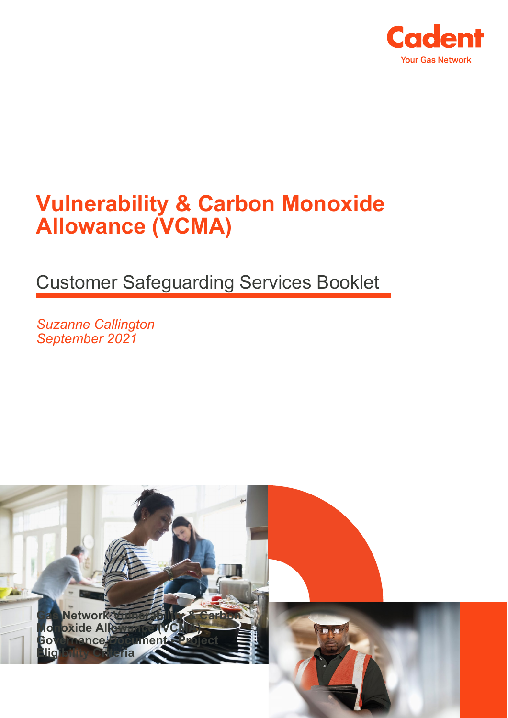

## **Vulnerability & Carbon Monoxide Allowance (VCMA)**

Customer Safeguarding Services Booklet

*Suzanne Callington September 2021*

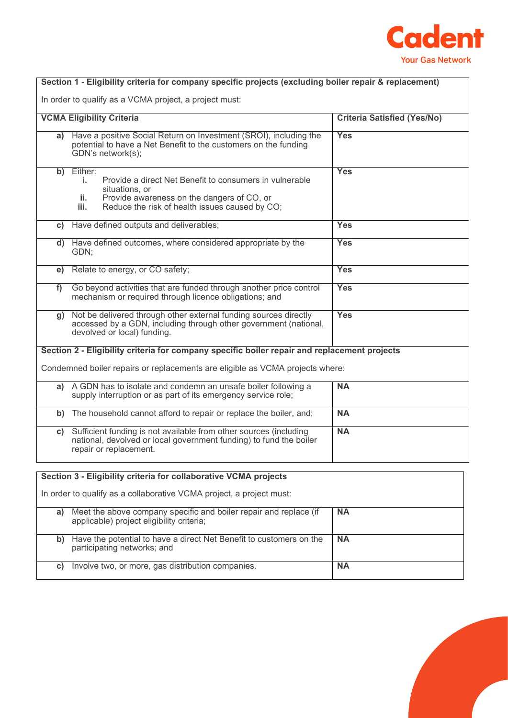

| Section 1 - Eligibility criteria for company specific projects (excluding boiler repair & replacement) |                                                                                                                                                                                                           |            |  |
|--------------------------------------------------------------------------------------------------------|-----------------------------------------------------------------------------------------------------------------------------------------------------------------------------------------------------------|------------|--|
| In order to qualify as a VCMA project, a project must:                                                 |                                                                                                                                                                                                           |            |  |
| <b>VCMA Eligibility Criteria</b><br><b>Criteria Satisfied (Yes/No)</b>                                 |                                                                                                                                                                                                           |            |  |
|                                                                                                        | a) Have a positive Social Return on Investment (SROI), including the<br>potential to have a Net Benefit to the customers on the funding<br>GDN's network(s);                                              | <b>Yes</b> |  |
| b)                                                                                                     | Either:<br>Provide a direct Net Benefit to consumers in vulnerable<br>i.<br>situations, or<br>Provide awareness on the dangers of CO, or<br>ii.<br>Reduce the risk of health issues caused by CO;<br>iii. | Yes        |  |
| C)                                                                                                     | Have defined outputs and deliverables;                                                                                                                                                                    | <b>Yes</b> |  |
|                                                                                                        | d) Have defined outcomes, where considered appropriate by the<br>GDN;                                                                                                                                     | <b>Yes</b> |  |
| e)                                                                                                     | Relate to energy, or CO safety;                                                                                                                                                                           | <b>Yes</b> |  |
| f)                                                                                                     | Go beyond activities that are funded through another price control<br>mechanism or required through licence obligations; and                                                                              | <b>Yes</b> |  |
| q)                                                                                                     | Not be delivered through other external funding sources directly<br>accessed by a GDN, including through other government (national,<br>devolved or local) funding.                                       | <b>Yes</b> |  |
| Section 2 - Eligibility criteria for company specific boiler repair and replacement projects           |                                                                                                                                                                                                           |            |  |
| Condemned boiler repairs or replacements are eligible as VCMA projects where:                          |                                                                                                                                                                                                           |            |  |
| a)                                                                                                     | A GDN has to isolate and condemn an unsafe boiler following a<br>supply interruption or as part of its emergency service role;                                                                            | <b>NA</b>  |  |
| b)                                                                                                     | The household cannot afford to repair or replace the boiler, and;                                                                                                                                         | <b>NA</b>  |  |
| C)                                                                                                     | Sufficient funding is not available from other sources (including<br>national, devolved or local government funding) to fund the boiler<br>repair or replacement.                                         | <b>NA</b>  |  |
| Section 3 - Eligibility criteria for collaborative VCMA projects                                       |                                                                                                                                                                                                           |            |  |
| In order to qualify as a collaborative VCMA project, a project must:                                   |                                                                                                                                                                                                           |            |  |
| a)                                                                                                     | Meet the above company specific and boiler repair and replace (if                                                                                                                                         | <b>NA</b>  |  |

| a) | Meet the above company specific and boiler repair and replace (if<br>applicable) project eligibility criteria; | <b>NA</b> |
|----|----------------------------------------------------------------------------------------------------------------|-----------|
|    | Have the potential to have a direct Net Benefit to customers on the<br>participating networks; and             | <b>NA</b> |
|    | Involve two, or more, gas distribution companies.                                                              | <b>NA</b> |

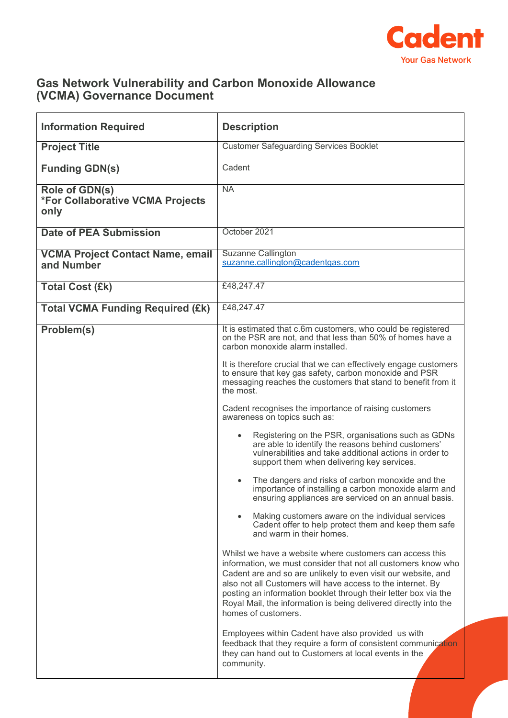

## **Gas Network Vulnerability and Carbon Monoxide Allowance (VCMA) Governance Document**

| <b>Information Required</b>                                       | <b>Description</b>                                                                                                                                                                                                                                                                                                                                                                                                                                                                                                                                                                                                                                                                                                                                                                                                                                                                                                                                                                                                                                                                                                                                                                                                                                                                                                                                                                                                                                                                                                                                                                                                             |
|-------------------------------------------------------------------|--------------------------------------------------------------------------------------------------------------------------------------------------------------------------------------------------------------------------------------------------------------------------------------------------------------------------------------------------------------------------------------------------------------------------------------------------------------------------------------------------------------------------------------------------------------------------------------------------------------------------------------------------------------------------------------------------------------------------------------------------------------------------------------------------------------------------------------------------------------------------------------------------------------------------------------------------------------------------------------------------------------------------------------------------------------------------------------------------------------------------------------------------------------------------------------------------------------------------------------------------------------------------------------------------------------------------------------------------------------------------------------------------------------------------------------------------------------------------------------------------------------------------------------------------------------------------------------------------------------------------------|
| <b>Project Title</b>                                              | <b>Customer Safeguarding Services Booklet</b>                                                                                                                                                                                                                                                                                                                                                                                                                                                                                                                                                                                                                                                                                                                                                                                                                                                                                                                                                                                                                                                                                                                                                                                                                                                                                                                                                                                                                                                                                                                                                                                  |
| <b>Funding GDN(s)</b>                                             | Cadent                                                                                                                                                                                                                                                                                                                                                                                                                                                                                                                                                                                                                                                                                                                                                                                                                                                                                                                                                                                                                                                                                                                                                                                                                                                                                                                                                                                                                                                                                                                                                                                                                         |
| Role of GDN(s)<br><b>*For Collaborative VCMA Projects</b><br>only | <b>NA</b>                                                                                                                                                                                                                                                                                                                                                                                                                                                                                                                                                                                                                                                                                                                                                                                                                                                                                                                                                                                                                                                                                                                                                                                                                                                                                                                                                                                                                                                                                                                                                                                                                      |
| <b>Date of PEA Submission</b>                                     | October 2021                                                                                                                                                                                                                                                                                                                                                                                                                                                                                                                                                                                                                                                                                                                                                                                                                                                                                                                                                                                                                                                                                                                                                                                                                                                                                                                                                                                                                                                                                                                                                                                                                   |
| <b>VCMA Project Contact Name, email</b><br>and Number             | Suzanne Callington<br>suzanne.callington@cadentgas.com                                                                                                                                                                                                                                                                                                                                                                                                                                                                                                                                                                                                                                                                                                                                                                                                                                                                                                                                                                                                                                                                                                                                                                                                                                                                                                                                                                                                                                                                                                                                                                         |
| <b>Total Cost (£k)</b>                                            | £48,247.47                                                                                                                                                                                                                                                                                                                                                                                                                                                                                                                                                                                                                                                                                                                                                                                                                                                                                                                                                                                                                                                                                                                                                                                                                                                                                                                                                                                                                                                                                                                                                                                                                     |
| <b>Total VCMA Funding Required (£k)</b>                           | £48,247.47                                                                                                                                                                                                                                                                                                                                                                                                                                                                                                                                                                                                                                                                                                                                                                                                                                                                                                                                                                                                                                                                                                                                                                                                                                                                                                                                                                                                                                                                                                                                                                                                                     |
| Problem(s)                                                        | It is estimated that c.6m customers, who could be registered<br>on the PSR are not, and that less than 50% of homes have a<br>carbon monoxide alarm installed.<br>It is therefore crucial that we can effectively engage customers<br>to ensure that key gas safety, carbon monoxide and PSR<br>messaging reaches the customers that stand to benefit from it<br>the most.<br>Cadent recognises the importance of raising customers<br>awareness on topics such as:<br>Registering on the PSR, organisations such as GDNs<br>are able to identify the reasons behind customers'<br>vulnerabilities and take additional actions in order to<br>support them when delivering key services.<br>The dangers and risks of carbon monoxide and the<br>importance of installing a carbon monoxide alarm and<br>ensuring appliances are serviced on an annual basis.<br>Making customers aware on the individual services<br>Cadent offer to help protect them and keep them safe<br>and warm in their homes.<br>Whilst we have a website where customers can access this<br>information, we must consider that not all customers know who<br>Cadent are and so are unlikely to even visit our website, and<br>also not all Customers will have access to the internet. By<br>posting an information booklet through their letter box via the<br>Royal Mail, the information is being delivered directly into the<br>homes of customers.<br>Employees within Cadent have also provided us with<br>feedback that they require a form of consistent communication<br>they can hand out to Customers at local events in the<br>community. |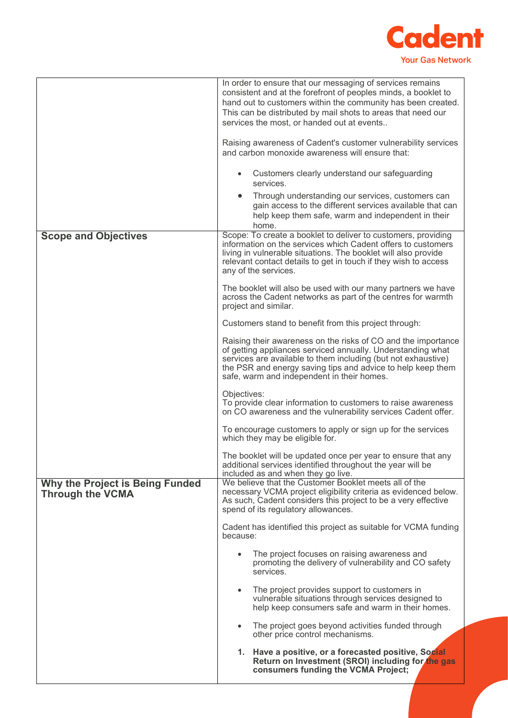

|                                                            | In order to ensure that our messaging of services remains<br>consistent and at the forefront of peoples minds, a booklet to<br>hand out to customers within the community has been created.<br>This can be distributed by mail shots to areas that need our<br>services the most, or handed out at events<br>Raising awareness of Cadent's customer vulnerability services<br>and carbon monoxide awareness will ensure that:<br>Customers clearly understand our safeguarding<br>$\bullet$<br>services.<br>Through understanding our services, customers can<br>$\bullet$<br>gain access to the different services available that can<br>help keep them safe, warm and independent in their<br>home. |
|------------------------------------------------------------|-------------------------------------------------------------------------------------------------------------------------------------------------------------------------------------------------------------------------------------------------------------------------------------------------------------------------------------------------------------------------------------------------------------------------------------------------------------------------------------------------------------------------------------------------------------------------------------------------------------------------------------------------------------------------------------------------------|
| <b>Scope and Objectives</b>                                | Scope: To create a booklet to deliver to customers, providing<br>information on the services which Cadent offers to customers<br>living in vulnerable situations. The booklet will also provide<br>relevant contact details to get in touch if they wish to access<br>any of the services.<br>The booklet will also be used with our many partners we have<br>across the Cadent networks as part of the centres for warmth<br>project and similar.                                                                                                                                                                                                                                                    |
|                                                            | Customers stand to benefit from this project through:<br>Raising their awareness on the risks of CO and the importance<br>of getting appliances serviced annually. Understanding what<br>services are available to them including (but not exhaustive)<br>the PSR and energy saving tips and advice to help keep them<br>safe, warm and independent in their homes.                                                                                                                                                                                                                                                                                                                                   |
|                                                            | Objectives:<br>To provide clear information to customers to raise awareness<br>on CO awareness and the vulnerability services Cadent offer.<br>To encourage customers to apply or sign up for the services                                                                                                                                                                                                                                                                                                                                                                                                                                                                                            |
|                                                            | which they may be eligible for.<br>The booklet will be updated once per year to ensure that any<br>additional services identified throughout the year will be<br>included as and when they go live.                                                                                                                                                                                                                                                                                                                                                                                                                                                                                                   |
| Why the Project is Being Funded<br><b>Through the VCMA</b> | We believe that the Customer Booklet meets all of the<br>necessary VCMA project eligibility criteria as evidenced below.<br>As such, Cadent considers this project to be a very effective<br>spend of its regulatory allowances.                                                                                                                                                                                                                                                                                                                                                                                                                                                                      |
|                                                            | Cadent has identified this project as suitable for VCMA funding<br>because:                                                                                                                                                                                                                                                                                                                                                                                                                                                                                                                                                                                                                           |
|                                                            | The project focuses on raising awareness and<br>$\bullet$<br>promoting the delivery of vulnerability and CO safety<br>services.                                                                                                                                                                                                                                                                                                                                                                                                                                                                                                                                                                       |
|                                                            | The project provides support to customers in<br>$\bullet$<br>vulnerable situations through services designed to<br>help keep consumers safe and warm in their homes.                                                                                                                                                                                                                                                                                                                                                                                                                                                                                                                                  |
|                                                            | The project goes beyond activities funded through<br>$\bullet$<br>other price control mechanisms.                                                                                                                                                                                                                                                                                                                                                                                                                                                                                                                                                                                                     |
|                                                            | Have a positive, or a forecasted positive, Social<br>1.<br>Return on Investment (SROI) including for the gas<br>consumers funding the VCMA Project;                                                                                                                                                                                                                                                                                                                                                                                                                                                                                                                                                   |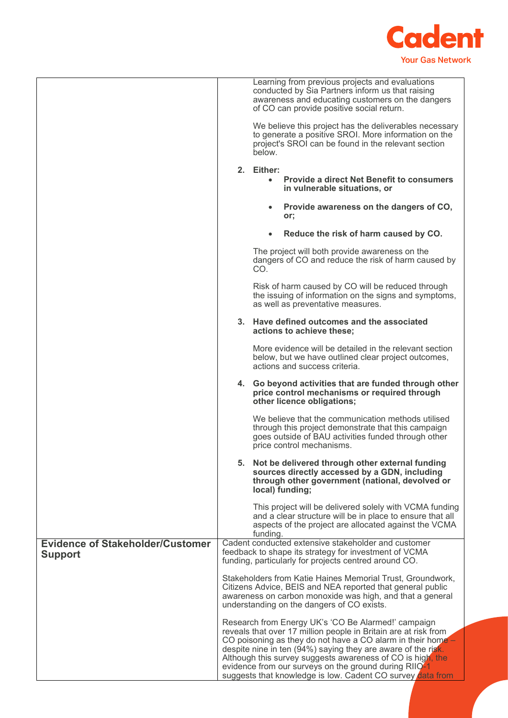

|                                                           |                                                                                                                                                                                                                                                                                                                  | Learning from previous projects and evaluations<br>conducted by Sia Partners inform us that raising<br>awareness and educating customers on the dangers<br>of CO can provide positive social return. |
|-----------------------------------------------------------|------------------------------------------------------------------------------------------------------------------------------------------------------------------------------------------------------------------------------------------------------------------------------------------------------------------|------------------------------------------------------------------------------------------------------------------------------------------------------------------------------------------------------|
|                                                           |                                                                                                                                                                                                                                                                                                                  | We believe this project has the deliverables necessary<br>to generate a positive SROI. More information on the<br>project's SROI can be found in the relevant section<br>below.                      |
|                                                           |                                                                                                                                                                                                                                                                                                                  | 2. Either:<br><b>Provide a direct Net Benefit to consumers</b><br>$\bullet$<br>in vulnerable situations, or                                                                                          |
|                                                           |                                                                                                                                                                                                                                                                                                                  | Provide awareness on the dangers of CO,<br>or;                                                                                                                                                       |
|                                                           |                                                                                                                                                                                                                                                                                                                  | Reduce the risk of harm caused by CO.                                                                                                                                                                |
|                                                           |                                                                                                                                                                                                                                                                                                                  | The project will both provide awareness on the<br>dangers of CO and reduce the risk of harm caused by<br>CO.                                                                                         |
|                                                           |                                                                                                                                                                                                                                                                                                                  | Risk of harm caused by CO will be reduced through<br>the issuing of information on the signs and symptoms,<br>as well as preventative measures.                                                      |
|                                                           |                                                                                                                                                                                                                                                                                                                  | 3. Have defined outcomes and the associated<br>actions to achieve these;                                                                                                                             |
|                                                           |                                                                                                                                                                                                                                                                                                                  | More evidence will be detailed in the relevant section<br>below, but we have outlined clear project outcomes,<br>actions and success criteria.                                                       |
|                                                           | 4.                                                                                                                                                                                                                                                                                                               | Go beyond activities that are funded through other<br>price control mechanisms or required through<br>other licence obligations;                                                                     |
|                                                           |                                                                                                                                                                                                                                                                                                                  | We believe that the communication methods utilised<br>through this project demonstrate that this campaign<br>goes outside of BAU activities funded through other<br>price control mechanisms.        |
|                                                           |                                                                                                                                                                                                                                                                                                                  | 5. Not be delivered through other external funding<br>sources directly accessed by a GDN, including<br>through other government (national, devolved or<br>local) funding;                            |
|                                                           |                                                                                                                                                                                                                                                                                                                  | This project will be delivered solely with VCMA funding<br>and a clear structure will be in place to ensure that all<br>aspects of the project are allocated against the VCMA<br>funding.            |
| <b>Evidence of Stakeholder/Customer</b><br><b>Support</b> |                                                                                                                                                                                                                                                                                                                  | Cadent conducted extensive stakeholder and customer<br>feedback to shape its strategy for investment of VCMA<br>funding, particularly for projects centred around CO.                                |
|                                                           | Stakeholders from Katie Haines Memorial Trust, Groundwork,<br>Citizens Advice, BEIS and NEA reported that general public<br>awareness on carbon monoxide was high, and that a general<br>understanding on the dangers of CO exists.                                                                              |                                                                                                                                                                                                      |
|                                                           |                                                                                                                                                                                                                                                                                                                  | Research from Energy UK's 'CO Be Alarmed!' campaign<br>reveals that over 17 million people in Britain are at risk from                                                                               |
|                                                           | CO poisoning as they do not have a CO alarm in their home -<br>despite nine in ten (94%) saying they are aware of the risk.<br>Although this survey suggests awareness of CO is high, the<br>evidence from our surveys on the ground during RIIO-1<br>suggests that knowledge is low. Cadent CO survey data from |                                                                                                                                                                                                      |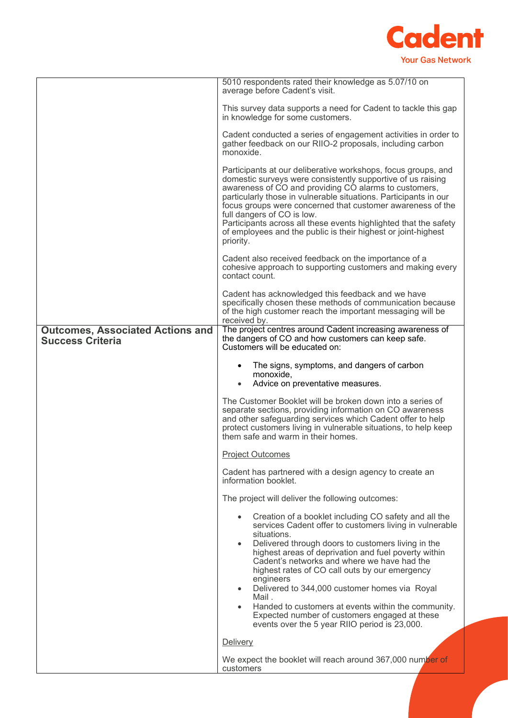

|                                                                    | 5010 respondents rated their knowledge as 5.07/10 on<br>average before Cadent's visit.                                                                                                                                                                                                                                                                                                                                                                                                                  |
|--------------------------------------------------------------------|---------------------------------------------------------------------------------------------------------------------------------------------------------------------------------------------------------------------------------------------------------------------------------------------------------------------------------------------------------------------------------------------------------------------------------------------------------------------------------------------------------|
|                                                                    | This survey data supports a need for Cadent to tackle this gap<br>in knowledge for some customers.                                                                                                                                                                                                                                                                                                                                                                                                      |
|                                                                    | Cadent conducted a series of engagement activities in order to<br>gather feedback on our RIIO-2 proposals, including carbon<br>monoxide.                                                                                                                                                                                                                                                                                                                                                                |
|                                                                    | Participants at our deliberative workshops, focus groups, and<br>domestic surveys were consistently supportive of us raising<br>awareness of CO and providing CO alarms to customers,<br>particularly those in vulnerable situations. Participants in our<br>focus groups were concerned that customer awareness of the<br>full dangers of CO is low.<br>Participants across all these events highlighted that the safety<br>of employees and the public is their highest or joint-highest<br>priority. |
|                                                                    | Cadent also received feedback on the importance of a<br>cohesive approach to supporting customers and making every<br>contact count.                                                                                                                                                                                                                                                                                                                                                                    |
|                                                                    | Cadent has acknowledged this feedback and we have<br>specifically chosen these methods of communication because<br>of the high customer reach the important messaging will be<br>received by.                                                                                                                                                                                                                                                                                                           |
| <b>Outcomes, Associated Actions and</b><br><b>Success Criteria</b> | The project centres around Cadent increasing awareness of<br>the dangers of CO and how customers can keep safe.<br>Customers will be educated on:                                                                                                                                                                                                                                                                                                                                                       |
|                                                                    | The signs, symptoms, and dangers of carbon<br>monoxide,<br>Advice on preventative measures.<br>$\bullet$                                                                                                                                                                                                                                                                                                                                                                                                |
|                                                                    | The Customer Booklet will be broken down into a series of<br>separate sections, providing information on CO awareness<br>and other safeguarding services which Cadent offer to help<br>protect customers living in vulnerable situations, to help keep<br>them safe and warm in their homes.                                                                                                                                                                                                            |
|                                                                    | <b>Project Outcomes</b>                                                                                                                                                                                                                                                                                                                                                                                                                                                                                 |
|                                                                    | Cadent has partnered with a design agency to create an<br>information booklet.                                                                                                                                                                                                                                                                                                                                                                                                                          |
|                                                                    | The project will deliver the following outcomes:                                                                                                                                                                                                                                                                                                                                                                                                                                                        |
|                                                                    | Creation of a booklet including CO safety and all the<br>$\bullet$<br>services Cadent offer to customers living in vulnerable<br>situations.<br>Delivered through doors to customers living in the<br>$\bullet$<br>highest areas of deprivation and fuel poverty within                                                                                                                                                                                                                                 |
|                                                                    | Cadent's networks and where we have had the<br>highest rates of CO call outs by our emergency<br>engineers                                                                                                                                                                                                                                                                                                                                                                                              |
|                                                                    | Delivered to 344,000 customer homes via Royal<br>$\bullet$<br>Mail.                                                                                                                                                                                                                                                                                                                                                                                                                                     |
|                                                                    | Handed to customers at events within the community.<br>Expected number of customers engaged at these<br>events over the 5 year RIIO period is 23,000.                                                                                                                                                                                                                                                                                                                                                   |
|                                                                    | Delivery                                                                                                                                                                                                                                                                                                                                                                                                                                                                                                |
|                                                                    | We expect the booklet will reach around 367,000 number of<br>customers                                                                                                                                                                                                                                                                                                                                                                                                                                  |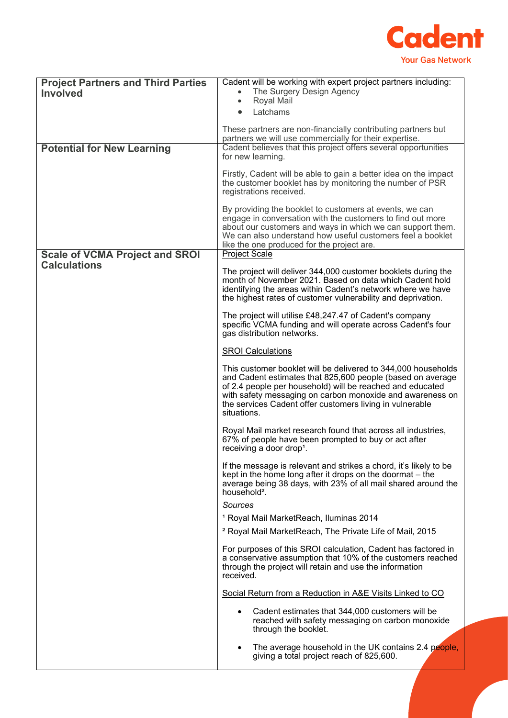

| <b>Project Partners and Third Parties</b><br><b>Involved</b> | Cadent will be working with expert project partners including:<br>The Surgery Design Agency<br>$\bullet$                                                                                                                                                                                                                         |  |
|--------------------------------------------------------------|----------------------------------------------------------------------------------------------------------------------------------------------------------------------------------------------------------------------------------------------------------------------------------------------------------------------------------|--|
|                                                              | Royal Mail<br>$\bullet$<br>Latchams                                                                                                                                                                                                                                                                                              |  |
|                                                              |                                                                                                                                                                                                                                                                                                                                  |  |
|                                                              | These partners are non-financially contributing partners but<br>partners we will use commercially for their expertise.                                                                                                                                                                                                           |  |
| <b>Potential for New Learning</b>                            | Cadent believes that this project offers several opportunities<br>for new learning.                                                                                                                                                                                                                                              |  |
|                                                              | Firstly, Cadent will be able to gain a better idea on the impact<br>the customer booklet has by monitoring the number of PSR<br>registrations received.                                                                                                                                                                          |  |
|                                                              | By providing the booklet to customers at events, we can<br>engage in conversation with the customers to find out more<br>about our customers and ways in which we can support them.<br>We can also understand how useful customers feel a booklet<br>like the one produced for the project are.                                  |  |
| <b>Scale of VCMA Project and SROI</b><br><b>Calculations</b> | <b>Project Scale</b>                                                                                                                                                                                                                                                                                                             |  |
|                                                              | The project will deliver 344,000 customer booklets during the<br>month of November 2021. Based on data which Cadent hold<br>identifying the areas within Cadent's network where we have<br>the highest rates of customer vulnerability and deprivation.                                                                          |  |
|                                                              | The project will utilise £48,247.47 of Cadent's company<br>specific VCMA funding and will operate across Cadent's four<br>gas distribution networks.                                                                                                                                                                             |  |
|                                                              | <b>SROI Calculations</b>                                                                                                                                                                                                                                                                                                         |  |
|                                                              | This customer booklet will be delivered to 344,000 households<br>and Cadent estimates that 825,600 people (based on average<br>of 2.4 people per household) will be reached and educated<br>with safety messaging on carbon monoxide and awareness on<br>the services Cadent offer customers living in vulnerable<br>situations. |  |
|                                                              | Royal Mail market research found that across all industries,<br>67% of people have been prompted to buy or act after<br>receiving a door drop <sup>1</sup> .                                                                                                                                                                     |  |
|                                                              | If the message is relevant and strikes a chord, it's likely to be<br>kept in the home long after it drops on the doormat - the<br>average being 38 days, with 23% of all mail shared around the<br>household <sup>2</sup> .                                                                                                      |  |
|                                                              | Sources                                                                                                                                                                                                                                                                                                                          |  |
|                                                              | <sup>1</sup> Royal Mail MarketReach, Iluminas 2014<br><sup>2</sup> Royal Mail MarketReach, The Private Life of Mail, 2015                                                                                                                                                                                                        |  |
|                                                              | For purposes of this SROI calculation, Cadent has factored in                                                                                                                                                                                                                                                                    |  |
|                                                              | a conservative assumption that 10% of the customers reached<br>through the project will retain and use the information<br>received.                                                                                                                                                                                              |  |
|                                                              | Social Return from a Reduction in A&E Visits Linked to CO                                                                                                                                                                                                                                                                        |  |
|                                                              | Cadent estimates that 344,000 customers will be<br>$\bullet$<br>reached with safety messaging on carbon monoxide<br>through the booklet.                                                                                                                                                                                         |  |
|                                                              | The average household in the UK contains 2.4 people,<br>$\bullet$<br>giving a total project reach of 825,600.                                                                                                                                                                                                                    |  |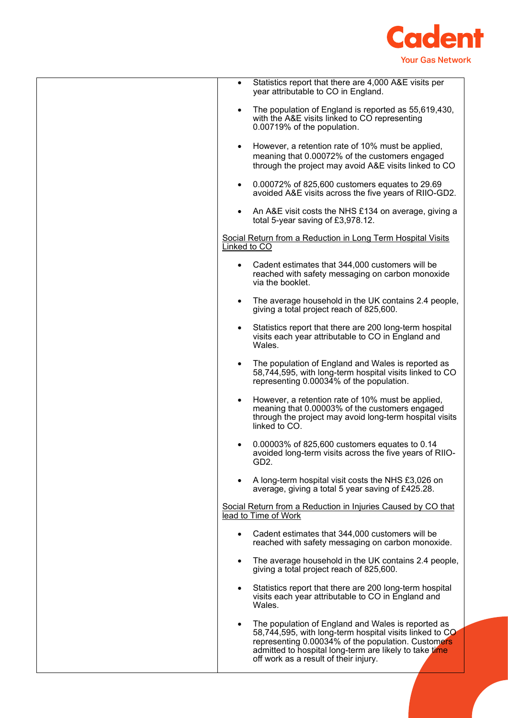

| Statistics report that there are 4,000 A&E visits per<br>$\bullet$<br>year attributable to CO in England.                                                                                                                                                                           |
|-------------------------------------------------------------------------------------------------------------------------------------------------------------------------------------------------------------------------------------------------------------------------------------|
| The population of England is reported as 55,619,430,<br>$\bullet$<br>with the A&E visits linked to CO representing<br>0.00719% of the population.                                                                                                                                   |
| However, a retention rate of 10% must be applied,<br>$\bullet$<br>meaning that 0.00072% of the customers engaged<br>through the project may avoid A&E visits linked to CO                                                                                                           |
| 0.00072% of 825,600 customers equates to 29.69<br>$\bullet$<br>avoided A&E visits across the five years of RIIO-GD2.                                                                                                                                                                |
| An A&E visit costs the NHS £134 on average, giving a<br>$\bullet$<br>total 5-year saving of £3,978.12.                                                                                                                                                                              |
| Social Return from a Reduction in Long Term Hospital Visits<br>Linked to CO                                                                                                                                                                                                         |
| Cadent estimates that 344,000 customers will be<br>reached with safety messaging on carbon monoxide<br>via the booklet.                                                                                                                                                             |
| The average household in the UK contains 2.4 people,<br>$\bullet$<br>giving a total project reach of 825,600.                                                                                                                                                                       |
| Statistics report that there are 200 long-term hospital<br>$\bullet$<br>visits each year attributable to CO in England and<br>Wales.                                                                                                                                                |
| The population of England and Wales is reported as<br>$\bullet$<br>58,744,595, with long-term hospital visits linked to CO<br>representing 0.00034% of the population.                                                                                                              |
| However, a retention rate of 10% must be applied,<br>$\bullet$<br>meaning that 0.00003% of the customers engaged<br>through the project may avoid long-term hospital visits<br>linked to CO.                                                                                        |
| 0.00003% of 825,600 customers equates to 0.14<br>avoided long-term visits across the five years of RIIO-<br>GD <sub>2</sub> .                                                                                                                                                       |
| A long-term hospital visit costs the NHS £3,026 on<br>average, giving a total 5 year saving of £425.28.                                                                                                                                                                             |
| Social Return from a Reduction in Injuries Caused by CO that<br>lead to Time of Work                                                                                                                                                                                                |
| Cadent estimates that 344,000 customers will be<br>reached with safety messaging on carbon monoxide.                                                                                                                                                                                |
| The average household in the UK contains 2.4 people,<br>$\bullet$<br>giving a total project reach of 825,600.                                                                                                                                                                       |
| Statistics report that there are 200 long-term hospital<br>visits each year attributable to CO in England and<br>Wales.                                                                                                                                                             |
| The population of England and Wales is reported as<br>$\bullet$<br>58,744,595, with long-term hospital visits linked to CO<br>representing 0.00034% of the population. Customers<br>admitted to hospital long-term are likely to take time<br>off work as a result of their injury. |
|                                                                                                                                                                                                                                                                                     |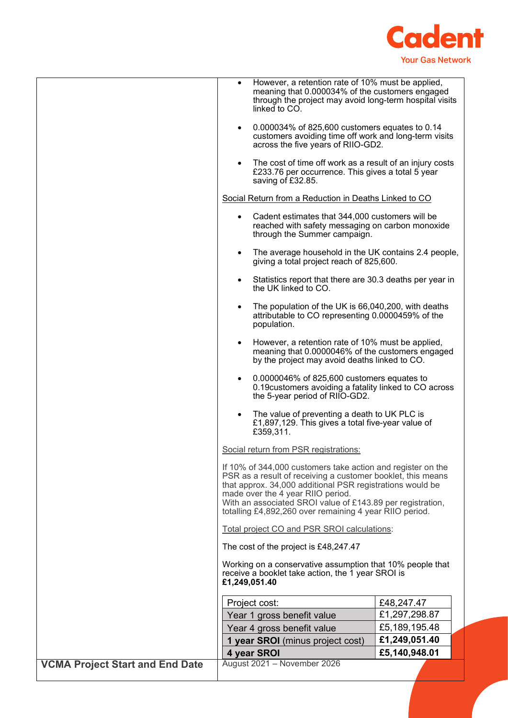

|                                        | $\bullet$<br>$\bullet$                                                                                                                                                                                                                                                                                                                                | However, a retention rate of 10% must be applied,<br>meaning that 0.000034% of the customers engaged<br>through the project may avoid long-term hospital visits<br>linked to CO.<br>0.000034% of 825,600 customers equates to 0.14<br>customers avoiding time off work and long-term visits |               |  |
|----------------------------------------|-------------------------------------------------------------------------------------------------------------------------------------------------------------------------------------------------------------------------------------------------------------------------------------------------------------------------------------------------------|---------------------------------------------------------------------------------------------------------------------------------------------------------------------------------------------------------------------------------------------------------------------------------------------|---------------|--|
|                                        |                                                                                                                                                                                                                                                                                                                                                       | across the five years of RIIO-GD2.<br>The cost of time off work as a result of an injury costs<br>£233.76 per occurrence. This gives a total 5 year                                                                                                                                         |               |  |
|                                        |                                                                                                                                                                                                                                                                                                                                                       | saving of £32.85.<br>Social Return from a Reduction in Deaths Linked to CO                                                                                                                                                                                                                  |               |  |
|                                        |                                                                                                                                                                                                                                                                                                                                                       |                                                                                                                                                                                                                                                                                             |               |  |
|                                        | $\bullet$                                                                                                                                                                                                                                                                                                                                             | Cadent estimates that 344,000 customers will be<br>reached with safety messaging on carbon monoxide<br>through the Summer campaign.                                                                                                                                                         |               |  |
|                                        | $\bullet$                                                                                                                                                                                                                                                                                                                                             | The average household in the UK contains 2.4 people,<br>giving a total project reach of 825,600.                                                                                                                                                                                            |               |  |
|                                        | $\bullet$                                                                                                                                                                                                                                                                                                                                             | Statistics report that there are 30.3 deaths per year in<br>the UK linked to CO.                                                                                                                                                                                                            |               |  |
|                                        |                                                                                                                                                                                                                                                                                                                                                       | The population of the UK is 66,040,200, with deaths<br>attributable to CO representing 0.0000459% of the<br>population.                                                                                                                                                                     |               |  |
|                                        | $\bullet$                                                                                                                                                                                                                                                                                                                                             | However, a retention rate of 10% must be applied,<br>meaning that 0.0000046% of the customers engaged<br>by the project may avoid deaths linked to CO.                                                                                                                                      |               |  |
|                                        |                                                                                                                                                                                                                                                                                                                                                       | 0.0000046% of 825,600 customers equates to<br>0.19 customers avoiding a fatality linked to CO across<br>the 5-year period of RIIO-GD2.                                                                                                                                                      |               |  |
|                                        |                                                                                                                                                                                                                                                                                                                                                       | The value of preventing a death to UK PLC is<br>£1,897,129. This gives a total five-year value of<br>£359,311.                                                                                                                                                                              |               |  |
|                                        | Social return from PSR registrations:                                                                                                                                                                                                                                                                                                                 |                                                                                                                                                                                                                                                                                             |               |  |
|                                        | If 10% of 344,000 customers take action and register on the<br>PSR as a result of receiving a customer booklet, this means<br>that approx. 34,000 additional PSR registrations would be<br>made over the 4 year RIIO period.<br>With an associated SROI value of £143.89 per registration,<br>totalling £4,892,260 over remaining 4 year RIIO period. |                                                                                                                                                                                                                                                                                             |               |  |
|                                        | Total project CO and PSR SROI calculations:                                                                                                                                                                                                                                                                                                           |                                                                                                                                                                                                                                                                                             |               |  |
|                                        |                                                                                                                                                                                                                                                                                                                                                       | The cost of the project is £48,247.47                                                                                                                                                                                                                                                       |               |  |
|                                        |                                                                                                                                                                                                                                                                                                                                                       | Working on a conservative assumption that 10% people that<br>receive a booklet take action, the 1 year SROI is<br>£1,249,051.40                                                                                                                                                             |               |  |
|                                        |                                                                                                                                                                                                                                                                                                                                                       | Project cost:                                                                                                                                                                                                                                                                               | £48,247.47    |  |
|                                        |                                                                                                                                                                                                                                                                                                                                                       | Year 1 gross benefit value                                                                                                                                                                                                                                                                  | £1,297,298.87 |  |
|                                        |                                                                                                                                                                                                                                                                                                                                                       | Year 4 gross benefit value                                                                                                                                                                                                                                                                  | £5,189,195.48 |  |
|                                        |                                                                                                                                                                                                                                                                                                                                                       | 1 year SROI (minus project cost)                                                                                                                                                                                                                                                            | £1,249,051.40 |  |
|                                        |                                                                                                                                                                                                                                                                                                                                                       | 4 year SROI                                                                                                                                                                                                                                                                                 | £5,140,948.01 |  |
| <b>VCMA Project Start and End Date</b> |                                                                                                                                                                                                                                                                                                                                                       | August 2021 - November 2026                                                                                                                                                                                                                                                                 |               |  |
|                                        |                                                                                                                                                                                                                                                                                                                                                       |                                                                                                                                                                                                                                                                                             |               |  |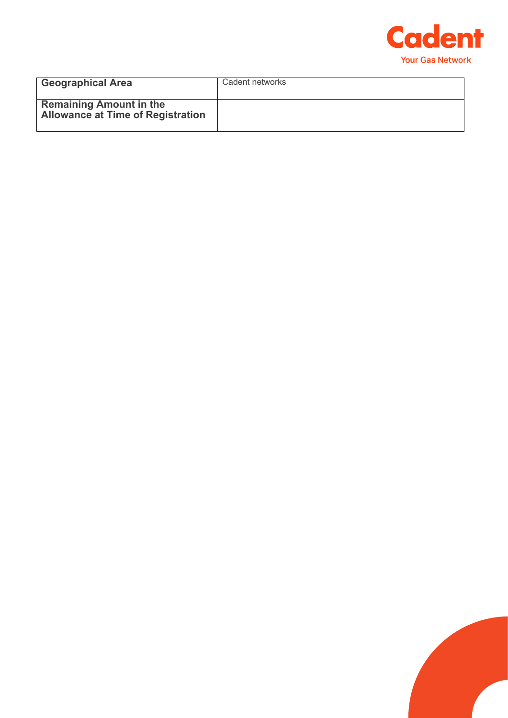

| <b>Geographical Area</b>                                                   | Cadent networks |
|----------------------------------------------------------------------------|-----------------|
| <b>Remaining Amount in the</b><br><b>Allowance at Time of Registration</b> |                 |